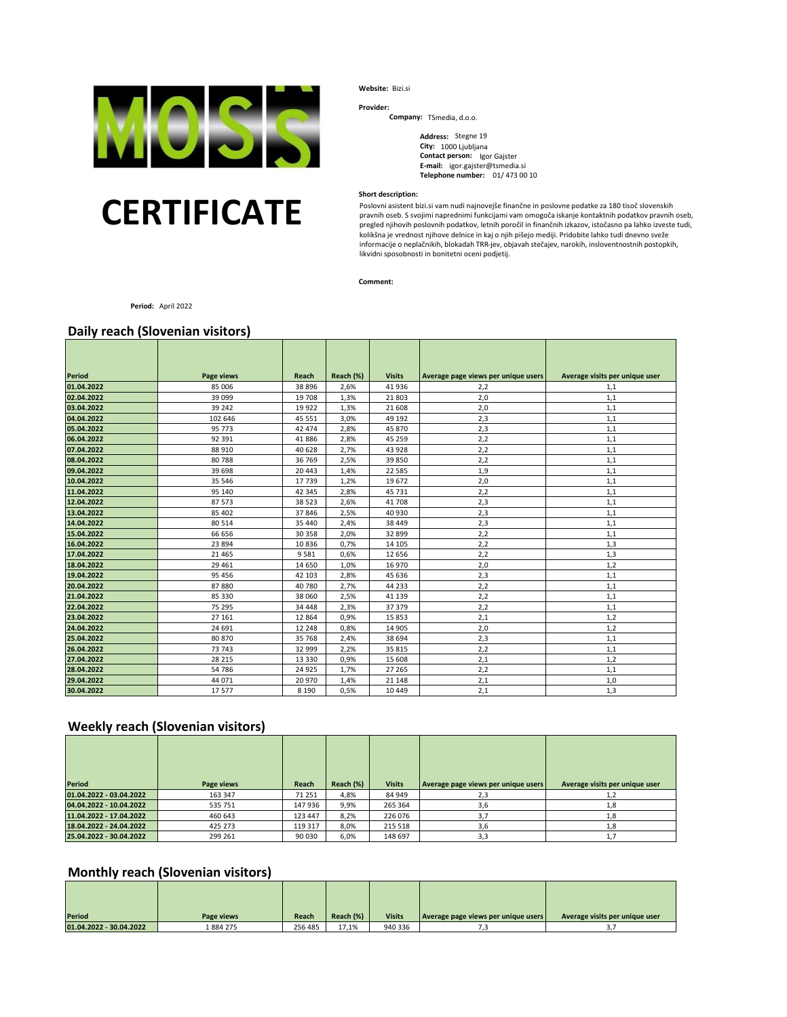

# **CERTIFICATE**

**Website:** Bizi.si

**Provider:**

**Company:**  TSmedia, d.o.o.

**Address:**  Stegne 19 **City:** 1000 Ljubljana **Contact person:** Igor Gajster **E-mail:** igor.gajster@tsmedia.si **Telephone number:** 01/ 473 00 10

#### **Short description:**

Poslovni asistent bizi.si vam nudi najnovejše finančne in poslovne podatke za 180 tisoč slovenskih pravnih oseb. S svojimi naprednimi funkcijami vam omogoča iskanje kontaktnih podatkov pravnih oseb, pregled njihovih poslovnih podatkov, letnih poročil in finančnih izkazov, istočasno pa lahko izveste tudi, kolikšna je vrednost njihove delnice in kaj o njih pišejo mediji. Pridobite lahko tudi dnevno sveže informacije o neplačnikih, blokadah TRR-jev, objavah stečajev, narokih, insloventnostnih postopkih, likvidni sposobnosti in bonitetni oceni podjetij.

**Comment:** 

**Period:** April 2022

## **Daily reach (Slovenian visitors)**

| Period     |                             | <b>Reach</b> | Reach (%) | <b>Visits</b> |                                     |                                |
|------------|-----------------------------|--------------|-----------|---------------|-------------------------------------|--------------------------------|
| 01.04.2022 | <b>Page views</b><br>85 006 | 38 8 96      | 2,6%      | 41 936        | Average page views per unique users | Average visits per unique user |
|            | 39 099                      |              |           |               | 2,2                                 | 1,1                            |
| 02.04.2022 |                             | 19 708       | 1,3%      | 21 803        | 2,0                                 | 1,1                            |
| 03.04.2022 | 39 24 2                     | 19 9 22      | 1,3%      | 21 608        | 2,0                                 | 1,1                            |
| 04.04.2022 | 102 646                     | 45 551       | 3,0%      | 49 192        | 2,3                                 | 1,1                            |
| 05.04.2022 | 95 773                      | 42 474       | 2,8%      | 45 870        | 2,3                                 | 1,1                            |
| 06.04.2022 | 92 391                      | 41886        | 2,8%      | 45 25 9       | 2,2                                 | 1,1                            |
| 07.04.2022 | 88 910                      | 40 628       | 2,7%      | 43 928        | 2,2                                 | 1,1                            |
| 08.04.2022 | 80788                       | 36 769       | 2,5%      | 39 850        | 2,2                                 | 1,1                            |
| 09.04.2022 | 39 698                      | 20 4 43      | 1,4%      | 22 5 8 5      | 1,9                                 | 1,1                            |
| 10.04.2022 | 35 546                      | 17739        | 1,2%      | 19 672        | 2,0                                 | 1,1                            |
| 11.04.2022 | 95 140                      | 42 345       | 2,8%      | 45 7 31       | 2,2                                 | 1,1                            |
| 12.04.2022 | 87573                       | 38 5 23      | 2,6%      | 41 708        | 2,3                                 | 1,1                            |
| 13.04.2022 | 85 402                      | 37846        | 2,5%      | 40 930        | 2,3                                 | 1,1                            |
| 14.04.2022 | 80 514                      | 35 4 40      | 2,4%      | 38 449        | 2,3                                 | 1,1                            |
| 15.04.2022 | 66 656                      | 30 358       | 2,0%      | 32 899        | 2,2                                 | 1,1                            |
| 16.04.2022 | 23 894                      | 10836        | 0,7%      | 14 10 5       | 2,2                                 | 1,3                            |
| 17.04.2022 | 21 4 65                     | 9581         | 0,6%      | 12 6 5 6      | 2,2                                 | 1,3                            |
| 18.04.2022 | 29 4 61                     | 14 650       | 1,0%      | 16 970        | 2,0                                 | 1,2                            |
| 19.04.2022 | 95 45 6                     | 42 103       | 2,8%      | 45 636        | 2,3                                 | 1,1                            |
| 20.04.2022 | 87880                       | 40 780       | 2,7%      | 44 233        | 2,2                                 | 1,1                            |
| 21.04.2022 | 85 330                      | 38 060       | 2,5%      | 41 139        | 2,2                                 | 1,1                            |
| 22.04.2022 | 75 295                      | 34 4 48      | 2,3%      | 37 37 9       | 2,2                                 | 1,1                            |
| 23.04.2022 | 27 16 1                     | 12 8 64      | 0,9%      | 15853         | 2,1                                 | 1,2                            |
| 24.04.2022 | 24 691                      | 12 248       | 0,8%      | 14 905        | 2,0                                 | 1,2                            |
| 25.04.2022 | 80 870                      | 35 768       | 2,4%      | 38 694        | 2,3                                 | 1,1                            |
| 26.04.2022 | 73 743                      | 32 999       | 2,2%      | 35 815        | 2,2                                 | 1,1                            |
| 27.04.2022 | 28 215                      | 13 3 3 0     | 0,9%      | 15 608        | 2,1                                 | 1,2                            |
| 28.04.2022 | 54786                       | 24 9 25      | 1,7%      | 27 265        | 2,2                                 | 1,1                            |
| 29.04.2022 | 44 071                      | 20 970       | 1,4%      | 21 148        | 2,1                                 | 1,0                            |
| 30.04.2022 | 17577                       | 8 1 9 0      | 0,5%      | 10 4 49       | 2,1                                 | 1,3                            |

## **Weekly reach (Slovenian visitors)**

| <b>Period</b>           |            | Reach   | Reach (%) | <b>Visits</b> |                                     |                                |
|-------------------------|------------|---------|-----------|---------------|-------------------------------------|--------------------------------|
|                         | Page views |         |           |               | Average page views per unique users | Average visits per unique user |
| 01.04.2022 - 03.04.2022 | 163 347    | 71 251  | 4,8%      | 84 949        | 2,3                                 | 1,2                            |
| 04.04.2022 - 10.04.2022 | 535 751    | 147 936 | 9,9%      | 265 364       | 3,6                                 | 1,8                            |
| 11.04.2022 - 17.04.2022 | 460 643    | 123 447 | 8,2%      | 226 076       | 3,7                                 | 1,8                            |
| 18.04.2022 - 24.04.2022 | 425 273    | 119 317 | 8,0%      | 215 518       | 3,6                                 | 1,8                            |
| 25.04.2022 - 30.04.2022 | 299 261    | 90 030  | 6,0%      | 148 697       | 3,3                                 | 1,7                            |

## **Monthly reach (Slovenian visitors)**

| <b>Period</b>           | Page views | Reach   | Reach (%) | <b>Visits</b> | Average page views per unique users | Average visits per unique user |
|-------------------------|------------|---------|-----------|---------------|-------------------------------------|--------------------------------|
| 01.04.2022 - 30.04.2022 | 884 275ء   | 256 485 | 17,1%     | 940 336       |                                     |                                |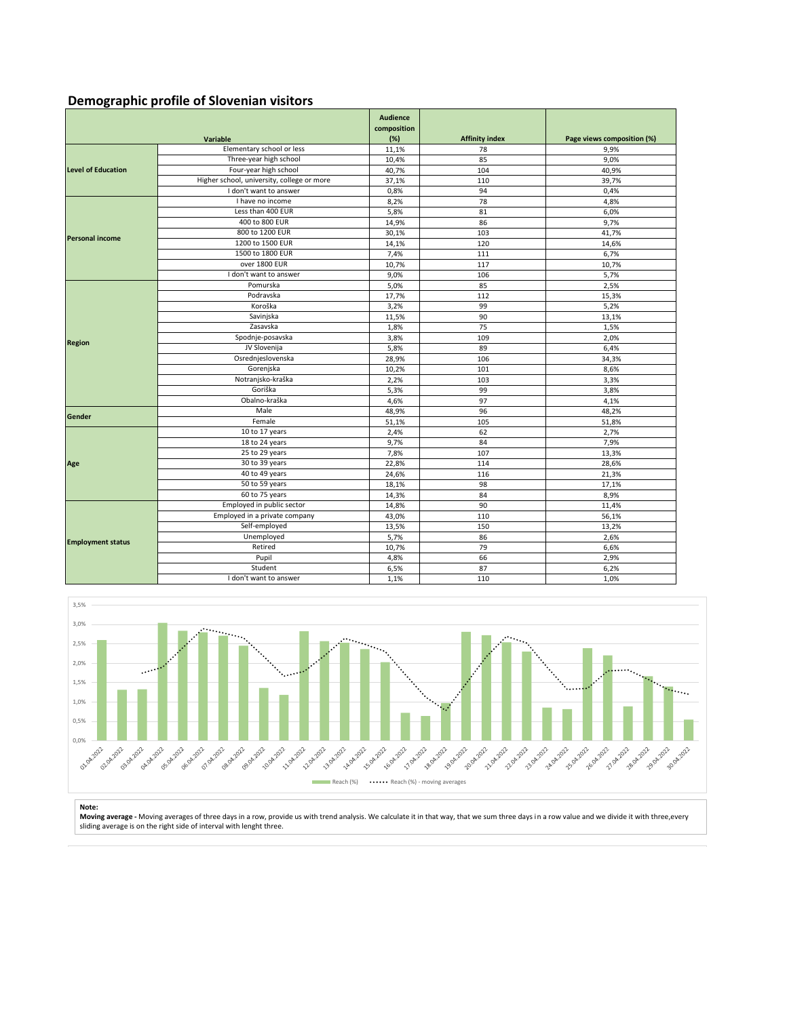## **Demographic profile of Slovenian visitors**

|                           |                                            | <b>Audience</b><br>composition |                       |                            |
|---------------------------|--------------------------------------------|--------------------------------|-----------------------|----------------------------|
|                           | Variable                                   | (%)                            | <b>Affinity index</b> | Page views composition (%) |
| <b>Level of Education</b> | Elementary school or less                  | 11,1%                          | 78                    | 9,9%                       |
|                           | Three-year high school                     | 10,4%                          | 85                    | 9,0%                       |
|                           | Four-year high school                      | 40,7%                          | 104                   | 40,9%                      |
|                           | Higher school, university, college or more | 37,1%                          | 110                   | 39,7%                      |
|                           | I don't want to answer                     | 0,8%                           | 94                    | 0,4%                       |
|                           | I have no income                           | 8,2%                           | 78                    | 4,8%                       |
|                           | Less than 400 EUR                          | 5,8%                           | 81                    | 6,0%                       |
|                           | 400 to 800 EUR                             | 14,9%                          | 86                    | 9,7%                       |
|                           | 800 to 1200 EUR                            | 30,1%                          | 103                   | 41,7%                      |
| <b>Personal income</b>    | 1200 to 1500 EUR                           | 14,1%                          | 120                   | 14,6%                      |
|                           | 1500 to 1800 EUR                           | 7,4%                           | 111                   | 6,7%                       |
|                           | over 1800 EUR                              | 10,7%                          | 117                   | 10,7%                      |
|                           | I don't want to answer                     | 9,0%                           | 106                   | 5,7%                       |
|                           | Pomurska                                   | 5,0%                           | 85                    | 2,5%                       |
|                           | Podravska                                  | 17,7%                          | 112                   | 15,3%                      |
|                           | Koroška                                    | 3,2%                           | 99                    | 5,2%                       |
|                           | Savinjska                                  | 11,5%                          | 90                    | 13,1%                      |
|                           | Zasavska                                   | 1,8%                           | 75                    | 1,5%                       |
|                           | Spodnje-posavska                           | 3,8%                           | 109                   | 2,0%                       |
| <b>Region</b>             | JV Slovenija                               | 5,8%                           | 89                    | 6,4%                       |
|                           | Osrednjeslovenska                          | 28,9%                          | 106                   | 34,3%                      |
|                           | Gorenjska                                  | 10,2%                          | 101                   | 8,6%                       |
|                           | Notranjsko-kraška                          | 2,2%                           | 103                   | 3,3%                       |
|                           | Goriška                                    | 5,3%                           | 99                    | 3,8%                       |
|                           | Obalno-kraška                              | 4.6%                           | 97                    | 4,1%                       |
| Gender                    | Male                                       | 48,9%                          | 96                    | 48,2%                      |
|                           | Female                                     | 51,1%                          | 105                   | 51,8%                      |
|                           | 10 to 17 years                             | 2,4%                           | 62                    | 2,7%                       |
|                           | 18 to 24 years                             | 9,7%                           | 84                    | 7,9%                       |
|                           | 25 to 29 years                             | 7,8%                           | 107                   | 13,3%                      |
| Age                       | 30 to 39 years                             | 22,8%                          | 114                   | 28,6%                      |
|                           | 40 to 49 years                             | 24,6%                          | 116                   | 21,3%                      |
|                           | 50 to 59 years                             | 18,1%                          | 98                    | 17,1%                      |
|                           | 60 to 75 years                             | 14,3%                          | 84                    | 8,9%                       |
| <b>Employment status</b>  | Employed in public sector                  | 14,8%                          | 90                    | 11,4%                      |
|                           | Employed in a private company              | 43,0%                          | 110                   | 56,1%                      |
|                           | Self-employed                              | 13,5%                          | 150                   | 13,2%                      |
|                           | Unemployed                                 | 5,7%                           | 86                    | 2,6%                       |
|                           | Retired                                    | 10,7%                          | 79                    | 6,6%                       |
|                           | Pupil                                      | 4,8%                           | 66                    | 2,9%                       |
|                           | Student                                    | 6,5%                           | 87                    | 6,2%                       |
|                           | I don't want to answer                     | 1,1%                           | 110                   | 1,0%                       |



**Note:**<br>**Moving average -** Moving averages of three days in a row, provide us with trend analysis. We calculate it in that way, that we sum three days in a row value and we divide it with three,every<br>sliding average is on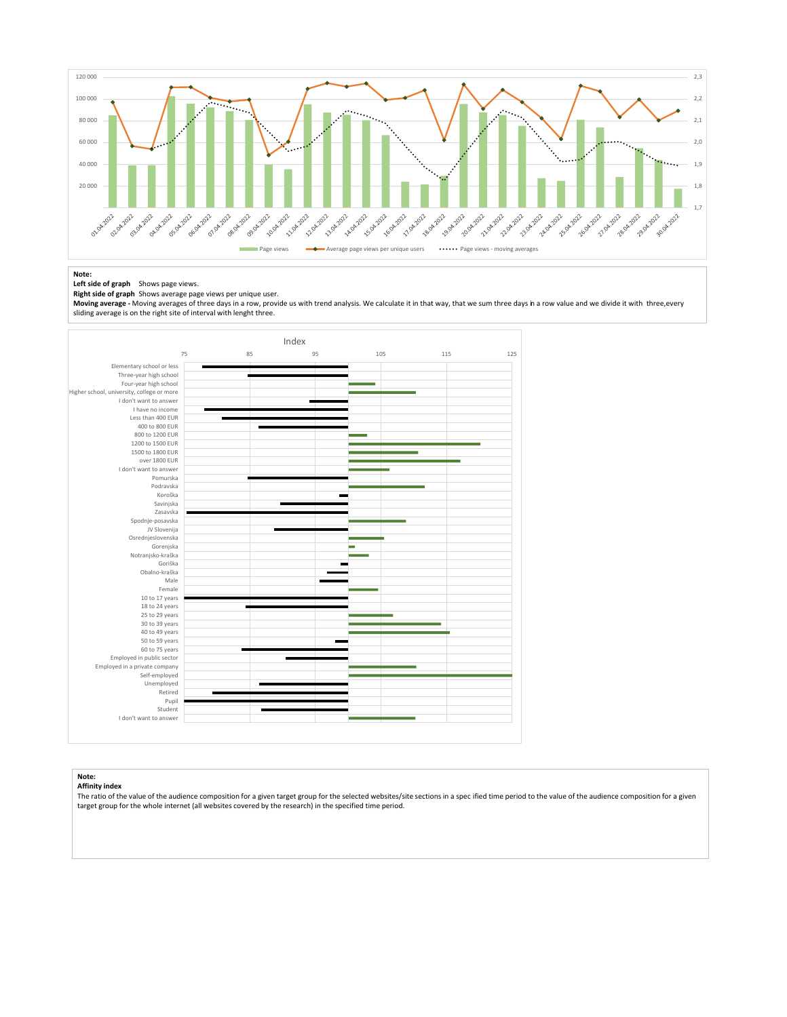

#### **Note:**

#### **Left side of graph** Shows page views. **Right side of graph** Shows average page views per unique user.

**Moving average -** Moving averages of three days in a row, provide us with trend analysis. We calculate it in that way, that we sum three days in a row value and we divide it with three,every sliding average is on the right site of interval with lenght three.



#### **Note: Affinity index**

The ratio of the value of the audience composition for a given target group for the selected websites/site sections in a spec ified time period to the value of the audience composition for a given target group for the whole internet (all websites covered by the research) in the specified time period.